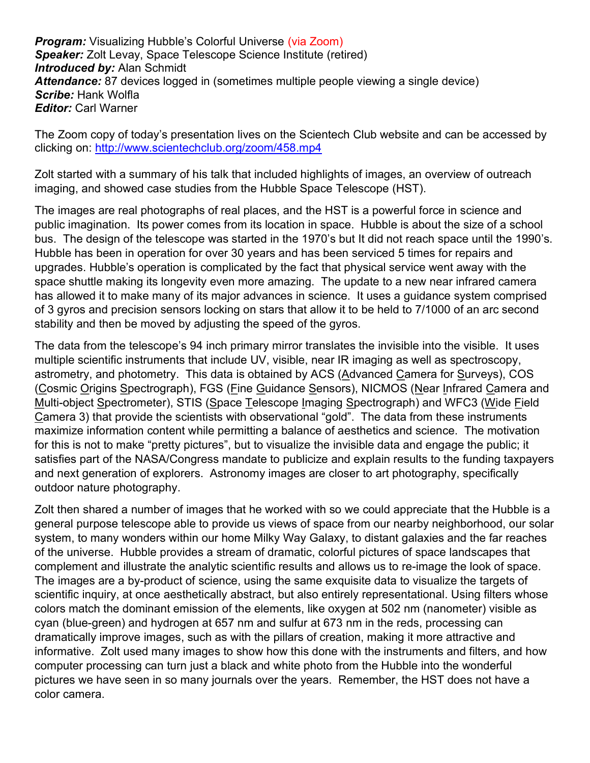**Program:** Visualizing Hubble's Colorful Universe (via Zoom) Speaker: Zolt Levay, Space Telescope Science Institute (retired) **Introduced by: Alan Schmidt** Attendance: 87 devices logged in (sometimes multiple people viewing a single device) Scribe: Hank Wolfla **Editor: Carl Warner** 

The Zoom copy of today's presentation lives on the Scientech Club website and can be accessed by clicking on: http://www.scientechclub.org/zoom/458.mp4

Zolt started with a summary of his talk that included highlights of images, an overview of outreach imaging, and showed case studies from the Hubble Space Telescope (HST).

The images are real photographs of real places, and the HST is a powerful force in science and public imagination. Its power comes from its location in space. Hubble is about the size of a school bus. The design of the telescope was started in the 1970's but It did not reach space until the 1990's. Hubble has been in operation for over 30 years and has been serviced 5 times for repairs and upgrades. Hubble's operation is complicated by the fact that physical service went away with the space shuttle making its longevity even more amazing. The update to a new near infrared camera has allowed it to make many of its major advances in science. It uses a guidance system comprised of 3 gyros and precision sensors locking on stars that allow it to be held to 7/1000 of an arc second stability and then be moved by adjusting the speed of the gyros.

The data from the telescope's 94 inch primary mirror translates the invisible into the visible. It uses multiple scientific instruments that include UV, visible, near IR imaging as well as spectroscopy, astrometry, and photometry. This data is obtained by ACS (Advanced Camera for Surveys), COS (Cosmic Origins Spectrograph), FGS (Fine Guidance Sensors), NICMOS (Near Infrared Camera and Multi-object Spectrometer), STIS (Space Telescope Imaging Spectrograph) and WFC3 (Wide Field Camera 3) that provide the scientists with observational "gold". The data from these instruments maximize information content while permitting a balance of aesthetics and science. The motivation for this is not to make "pretty pictures", but to visualize the invisible data and engage the public; it satisfies part of the NASA/Congress mandate to publicize and explain results to the funding taxpayers and next generation of explorers. Astronomy images are closer to art photography, specifically outdoor nature photography.

Zolt then shared a number of images that he worked with so we could appreciate that the Hubble is a general purpose telescope able to provide us views of space from our nearby neighborhood, our solar system, to many wonders within our home Milky Way Galaxy, to distant galaxies and the far reaches of the universe. Hubble provides a stream of dramatic, colorful pictures of space landscapes that complement and illustrate the analytic scientific results and allows us to re-image the look of space. The images are a by-product of science, using the same exquisite data to visualize the targets of scientific inquiry, at once aesthetically abstract, but also entirely representational. Using filters whose colors match the dominant emission of the elements, like oxygen at 502 nm (nanometer) visible as cyan (blue-green) and hydrogen at 657 nm and sulfur at 673 nm in the reds, processing can dramatically improve images, such as with the pillars of creation, making it more attractive and informative. Zolt used many images to show how this done with the instruments and filters, and how computer processing can turn just a black and white photo from the Hubble into the wonderful pictures we have seen in so many journals over the years. Remember, the HST does not have a color camera.